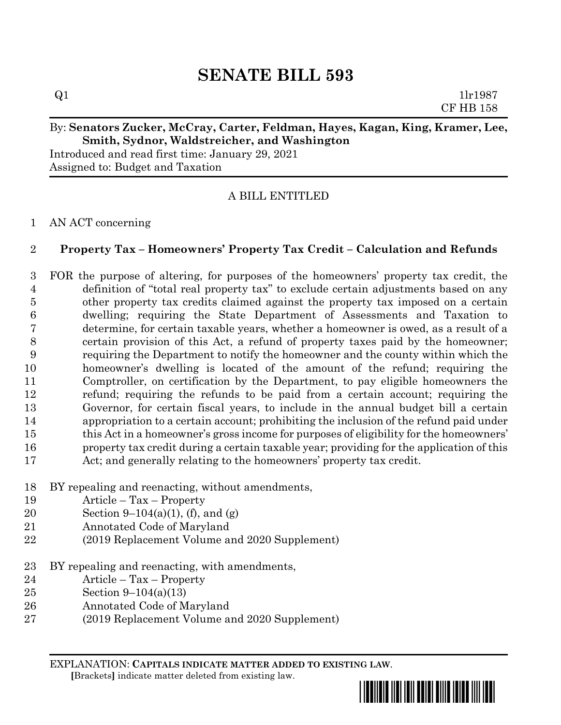# **SENATE BILL 593**

 $Q1$  1lr1987 CF HB 158

# By: **Senators Zucker, McCray, Carter, Feldman, Hayes, Kagan, King, Kramer, Lee, Smith, Sydnor, Waldstreicher, and Washington**

Introduced and read first time: January 29, 2021 Assigned to: Budget and Taxation

# A BILL ENTITLED

### AN ACT concerning

# **Property Tax – Homeowners' Property Tax Credit – Calculation and Refunds**

 FOR the purpose of altering, for purposes of the homeowners' property tax credit, the definition of "total real property tax" to exclude certain adjustments based on any other property tax credits claimed against the property tax imposed on a certain dwelling; requiring the State Department of Assessments and Taxation to determine, for certain taxable years, whether a homeowner is owed, as a result of a certain provision of this Act, a refund of property taxes paid by the homeowner; requiring the Department to notify the homeowner and the county within which the homeowner's dwelling is located of the amount of the refund; requiring the Comptroller, on certification by the Department, to pay eligible homeowners the refund; requiring the refunds to be paid from a certain account; requiring the Governor, for certain fiscal years, to include in the annual budget bill a certain appropriation to a certain account; prohibiting the inclusion of the refund paid under this Act in a homeowner's gross income for purposes of eligibility for the homeowners' property tax credit during a certain taxable year; providing for the application of this Act; and generally relating to the homeowners' property tax credit.

- BY repealing and reenacting, without amendments,
- Article Tax Property
- 20 Section 9–104(a)(1), (f), and (g)
- Annotated Code of Maryland
- (2019 Replacement Volume and 2020 Supplement)
- BY repealing and reenacting, with amendments,
- Article Tax Property
- Section 9–104(a)(13)
- Annotated Code of Maryland
- (2019 Replacement Volume and 2020 Supplement)

EXPLANATION: **CAPITALS INDICATE MATTER ADDED TO EXISTING LAW**.  **[**Brackets**]** indicate matter deleted from existing law.

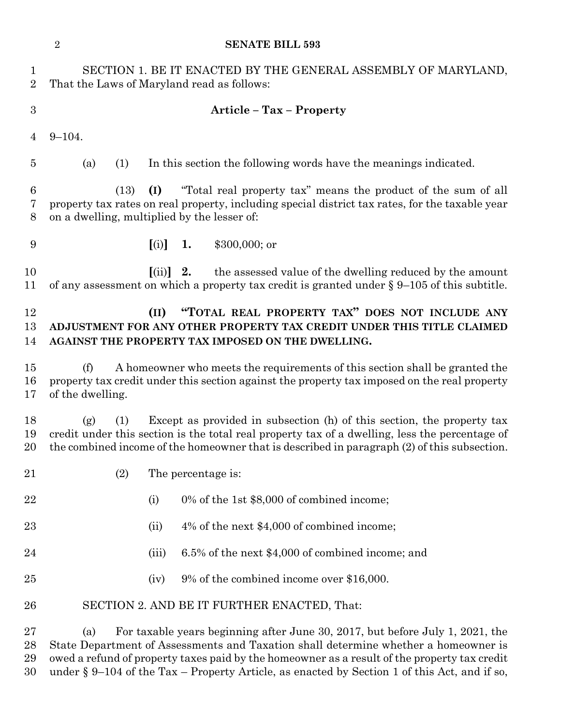|                                | $\overline{2}$<br><b>SENATE BILL 593</b>                                                                                                                                                                                                                                                                                                                                       |     |                                   |                    |                                                                                                                                                            |
|--------------------------------|--------------------------------------------------------------------------------------------------------------------------------------------------------------------------------------------------------------------------------------------------------------------------------------------------------------------------------------------------------------------------------|-----|-----------------------------------|--------------------|------------------------------------------------------------------------------------------------------------------------------------------------------------|
| $\mathbf{1}$<br>$\overline{2}$ | SECTION 1. BE IT ENACTED BY THE GENERAL ASSEMBLY OF MARYLAND,<br>That the Laws of Maryland read as follows:                                                                                                                                                                                                                                                                    |     |                                   |                    |                                                                                                                                                            |
| $\boldsymbol{3}$               | <b>Article - Tax - Property</b>                                                                                                                                                                                                                                                                                                                                                |     |                                   |                    |                                                                                                                                                            |
| 4                              | $9 - 104.$                                                                                                                                                                                                                                                                                                                                                                     |     |                                   |                    |                                                                                                                                                            |
| $\overline{5}$                 | (a)                                                                                                                                                                                                                                                                                                                                                                            | (1) |                                   |                    | In this section the following words have the meanings indicated.                                                                                           |
| 6<br>7<br>8                    | "Total real property tax" means the product of the sum of all<br>(I)<br>(13)<br>property tax rates on real property, including special district tax rates, for the taxable year<br>on a dwelling, multiplied by the lesser of:                                                                                                                                                 |     |                                   |                    |                                                                                                                                                            |
| 9                              |                                                                                                                                                                                                                                                                                                                                                                                |     | [(i)]                             | 1.                 | \$300,000; or                                                                                                                                              |
| 10<br>11                       |                                                                                                                                                                                                                                                                                                                                                                                |     | $\left[ \mathrm{(ii)} \right]$ 2. |                    | the assessed value of the dwelling reduced by the amount<br>of any assessment on which a property tax credit is granted under $\S 9-105$ of this subtitle. |
| 12<br>13<br>14                 | "TOTAL REAL PROPERTY TAX" DOES NOT INCLUDE ANY<br>(II)<br>ADJUSTMENT FOR ANY OTHER PROPERTY TAX CREDIT UNDER THIS TITLE CLAIMED<br>AGAINST THE PROPERTY TAX IMPOSED ON THE DWELLING.                                                                                                                                                                                           |     |                                   |                    |                                                                                                                                                            |
| 15<br>16<br>17                 | A homeowner who meets the requirements of this section shall be granted the<br>(f)<br>property tax credit under this section against the property tax imposed on the real property<br>of the dwelling.                                                                                                                                                                         |     |                                   |                    |                                                                                                                                                            |
| 18<br>19<br>20                 | Except as provided in subsection (h) of this section, the property tax<br>(g)<br>(1)<br>credit under this section is the total real property tax of a dwelling, less the percentage of<br>the combined income of the homeowner that is described in paragraph (2) of this subsection.                                                                                          |     |                                   |                    |                                                                                                                                                            |
| 21                             |                                                                                                                                                                                                                                                                                                                                                                                | (2) |                                   | The percentage is: |                                                                                                                                                            |
| 22                             |                                                                                                                                                                                                                                                                                                                                                                                |     | (i)                               |                    | 0% of the 1st \$8,000 of combined income;                                                                                                                  |
| 23                             |                                                                                                                                                                                                                                                                                                                                                                                |     | (ii)                              |                    | 4% of the next \$4,000 of combined income;                                                                                                                 |
| 24                             |                                                                                                                                                                                                                                                                                                                                                                                |     | (iii)                             |                    | 6.5% of the next \$4,000 of combined income; and                                                                                                           |
| 25                             |                                                                                                                                                                                                                                                                                                                                                                                |     | (iv)                              |                    | 9% of the combined income over \$16,000.                                                                                                                   |
| 26                             | SECTION 2. AND BE IT FURTHER ENACTED, That:                                                                                                                                                                                                                                                                                                                                    |     |                                   |                    |                                                                                                                                                            |
| 27<br>28<br>29<br>30           | For taxable years beginning after June 30, 2017, but before July 1, 2021, the<br>(a)<br>State Department of Assessments and Taxation shall determine whether a homeowner is<br>owed a refund of property taxes paid by the homeowner as a result of the property tax credit<br>under $\S 9-104$ of the Tax – Property Article, as enacted by Section 1 of this Act, and if so, |     |                                   |                    |                                                                                                                                                            |